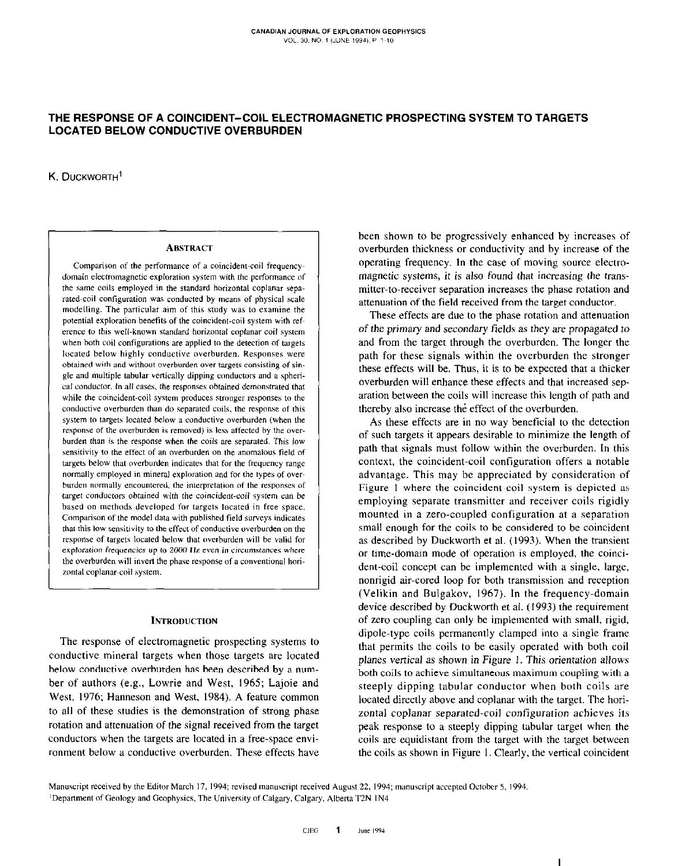# THE RESPONSE OF A COINCIDENT-COIL ELECTROMAGNETIC PROSPECTING SYSTEM TO TARGETS LOCATED BELOW CONDUCTIVE OVERBURDEN

K. DUCKWORTH'

#### ABSTRACT

comparison of the performance of a coincident-coil frequencydomain electromagnetic exploration system with the performance of the same coils employed in the standard horizontal coplanar separated-coil configuration was conducted by means of physical scale modelling. The particular aim of this study was to examine the potential exploration benefits of the coincident-coil system with refcrence to this well-known standard horizontal coplanar coil system when both coil configurations are applied to the detection of targets located below highly conductive overburden. Responses were obtained with and without overburden over targets consisting of single and multiple tabular vertically dipping conductors and a spherical conductor. In all cases, the responses obtained demonstrated that while the coincident-coil system produces stronger responses to the conductive overburden than do separated coils, the response of this system to targets located below a conductive overburden (when the response of the overburden is removed) is less affected by the overburden than is the response when the coils are separated. This low sensitivity to the effect of an overburden on the anomalous field of targets below that overburden indicates that for the frequency range normally employed in mineral exploration and for the types of overburden normally encountered, the interpretation of the responses of target conductors obtained with the coincident-coil system can be based on methods developed for targets located in free space. Comparison of the model data with published field surveys indicates that this low sensitivity to the effect of conductive overburden on the response of targets located below that overburden will be valid for exploration frequencies up to 2000 Hz even in circumstances where the overburden will invert the phase response of a conventional horizontal coplanar-coil system.

## **INTRODUCTION**

The response of electromagnetic prospecting systems to conductive mineral targets when those targets are located below conductive overburden has been described by a number of authors (e.g., Lowrie and West, 1965; Lajoie and West, 1976; Hanneson and West, 1984). A feature common to all of these studies is the demonstration of strong phase rotation and attenuation of the signal received from the target conductors when the targets are located in a free-space environment below a conductive overburden. These effects have been shown to be progressively enhanced by increases of overburden thickness or conductivity and by increase of the operating frequency. In the case of moving source electromagnetic systems, it is also found that increasing the transmitter-to-receiver separation increases the phase rotation and attenuation of the field received from the target conductor.

These effects are due to the phase rotation and attenuation of the primary and secondary fields as they are propagated to and from the target through the overburden. The longer the path for these signals within the overburden the stronger these effects will he. Thus, it is to he expected that a thicker overburden will enhance these effects and that increased separation between the coils will increase this length of path and thereby also increase the effect of the overburden.

As these effects are in no way beneficial to the detection of such targets it appears desirable to minimize the length of path that signals must follow within the overburden. In this context, the coincident-coil configuration offers a notable advantage. This may be appreciated by consideration of Figure I where the coincident-coil system is depicted as employing separate transmitter and receiver coils rigidly mounted in a zero-coupled configuration at a separation small enough for the coils to be considered to be coincident as described by Duckworth et al. (1993). When the transient or time-domain mode of operation is employed, the coincident-coil concept can be implemented with a single, large, nonrigid air-cored loop for both transmission and reception (Velikin and Bulgakov, 1967). In the frequency-domain device described by Duckworth et al. (1993) the requirement of zero coupling can only be implemented with small, rigid, dipole-type coils permanently clamped into a single frame that permits the coils to be easily operated with both coil planes vertical as shown in Figure I. This orientation allows both coils to achieve simultaneous maximum coupling with a steeply dipping tabular conductor when both coils are located directly above and coplanar with the target. The horizontal coplanar separated-coil configuration achieves its peak response to a steeply dipping tabular target when the coils are equidistant from the target with the target between the coils as shown in Figure I. Clearly, the vertical coincident

Manuscript received by the Editor March 17, 1994; revised manuscript received August 22, 1994; manuscript accepted October 5, 1994. <sup>1</sup>Department of Geology and Geophysics, The University of Calgary, Calgary, Alberta T2N 1N4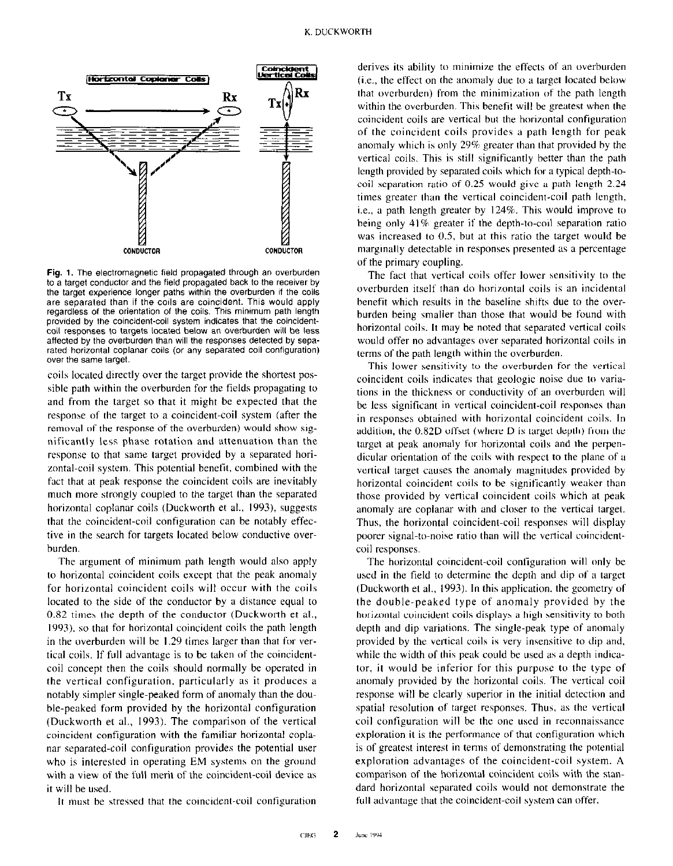

Fig. 1. The electromagnetic field propagated through an overburden to a target conductor and the field propagated back to the receiver by the target experience longer paths within the overburden if the coils are separated than if the coils are coincident. This would apply regardless of the Orientation of the coils. This minimum path length provided by the coincident-coil system indicates that the coincidentcoil responses to targets located below an overburden will be less affected by the overburden than will the responses detected by separated horizontal coplanar coils (or any separated coil configuration) over the same target.

coils located directly over the target provide the shortest possihle path within the overburden for the fields propagating to and from the target so that it might he expected that the response of the target to a coincident-coil system (after the removal of the response of the overburden) would show significantly less phase rotation and attenuation than the response to that same target provided hy a separated horizontal-coil system. This potential benefit, combined with the fact that at peak response the coincident coils are inevitably much more strongly coupled to the target than the separated horizontal coplanar coils (Duckworth et al., 1993), suggests that the coincident-coil configuration can he notably effective in the search for targets located below conductive overburden.

The argument of minimum path length would also apply to horizontal coincident coils except that the peak anomaly for horizontal coincident coils will occur with the coils located to the side of the conductor by a distance equal to 0.82 times the depth of the conductor (Duckworth et al., 1993). so that for horizontal coincident coils the path length in the overburden will be 1.29 times larger than that for vertical coils. If full advantage is to be taken of the coincidentcoil concept then the coils should normally he operated in the vertical configuration, particularly as it produces a notably simpler single-peaked form of anomaly than the double-peaked form provided hy the horizontal configuration (Duckworth et al., 1993). The comparison of the vertical coincident configuration with the familiar horizontal coplanar separated-coil configuration provides the potential user who is interested in operating EM systems on the ground with a view of the full merit of the coincident-coil device as it will he used.

It must be stressed that the coincident-coil configuration

derives its ability to minimize the effects of an overburden (i.e., the effect on the anomaly due to a target located below that overburden) from the minimization of the path length within the overburden. This benefit will be greatest when the coincident coils are vertical hut the horizontal configuration of the coincident coils provides a path length for peak anomaly which is only 29% greater than that provided by the vertical coils. This is still significantly better than the path length provided hy separated coils which for a typical depth-tocoil separation ratio of 0.25 would give a path length 2.24 times greater than the vertical coincident-coil path length, i.e., a path length greater by 124%. This would improve to being only  $41\%$  greater if the depth-to-coil separation ratio was increased to 0.5, but at this ratio the target would be marginally detectable in responses presented as a percentage of the primary coupling.

The fact that vertical coils offer lower sensitivity to the overburden itself than do horizontal coils is an incidental benefit which results in the baseline shifts due to the overburden being smaller than those that would be found with horizontal coils. It may be noted that separated vertical coils would offer no advantages over separeted horizontal coils in terms of the path length within the overburden.

This lower sensitivity to the overburden for the vertical coincident coils indicates that geologic noise due to variations in the thickness or conductivity of an overburden will he less significant in vertical coincident-coil responses than in responses obtained with horizontal coincident coils. In addition, the 0.82D offset (where D is target depth) from the target at peak anomaly for horizontal coils and the perpendicular orientation of the coils with respect to the plane of a vertical target causes the anomaly magnitudes provided by horizontal coincident coils to be significantly weaker than those provided by vertical coincident coils which at peak anomaly are coplanar with and closer to the vertical target. Thus, the horizontal coincident-coil responses will display poorer signal-to-noise ratio than will the vertical coincidentcoil responses.

The horizontal coincident-coil configuration will only he used in the field to determine the depth and dip of a target (Duckworth et al., 1993). In this application, the geometry of the double-peaked type of anomaly provided by the horizontal coincident coils displays a high sensitivity to both depth and dip variations. The single-peak type of anomaly provided by the vertical coils is very insensitive to dip and, while the width of this peak could be used as a depth indicator, it would he inferior for this purpose to the type of anomaly provided by the horizontal coils. The vertical coil response will he clearly superior in the initial detection and spatial resolution of target responses. Thus, as the vertical coil configuration will he the one used in reconnaissance exploration it is the performance of that configuration which is of greatest interest in terms of demonstrating the potential exploration advantages of the coincident-coil system. A comparison of the horizontal coincident coils with the standard horizontal separated coils would not demonstrate the full advantage that the coincident-coil system can offer.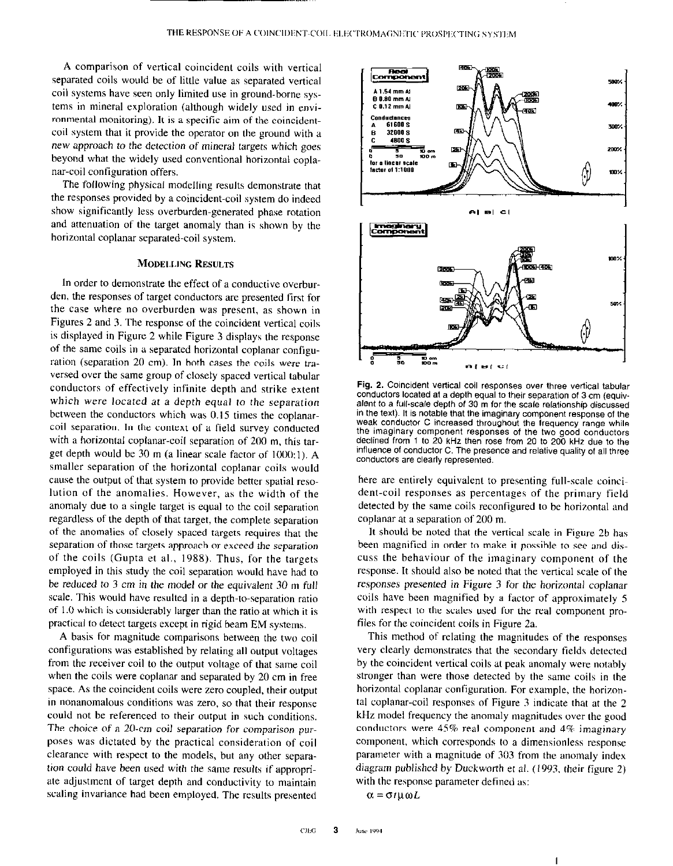A comparison of vertical coincident coils with vertical separated coils would be of little value as separated vertical coil systems have seen only limited use in ground-borne systems in mineral exploration (although widely used in environmental monitoring). It is a specific aim of the coincidentcoil system that it provide the operator on the ground with a new approach to the detection of mineral targets which goes beyond what the widely used conventional horizontal coplanar-coil configuration offers.

The following physical modelling results demonstrate that the responses provided by a coincident-coil system do indeed show significantly less overburden-generated phase rotation and attenuation of the target anomaly than is shown by the horizontal coplanar separated-coil system.

# MODELLING RESULTS

In order to demonstrate the effect of a conductive overburden, the responses of target conductors are presented first for the case where no overburden was present, as shown in Figures 2 and 3. The response of the coincident vertical coils is displayed in Figure 2 while Figure 3 displays the response of the same coils in a separated horizontal coplanar configuration (separation 20 cm). In both cases the coils were traversed over the same group of closely spaced vertical tabular conductors of effectively infinite depth and strike extent which were located at a depth equal to the separation between the conductors which was 0.15 times the coplanarcoil separation. In the context of a field survey conducted with a horizontal coplanar-coil separation of 200 m. this target depth would be 30 m (a linear scale factor of 1000: I). A smaller separation of the horizontal coplanar coils would cause the output of that system to provide better spatial resolution of the anomalies. However, as the width of the anomaly due to a single target is equal to the coil separation regardless of the depth of that target, the complete separation of the anomalies of closely spaced targets requires that the separation of those targets approach or exceed the separation of the coils (Gupta et al., 1988). Thus, for the targets employed in this study the coil separation would have had to be reduced to 3 cm in the model or the equivalent 30 m full scale. This would have resulted in a depth-to-separation ratio of I .O which is considerably larger than the ratio at which it is practical to detect targets except in rigid beam EM systems.

A basis for magnitude comparisons between the two coil configurations was established by relating all output voltages from the receiver coil to the output voltage of that same coil when the coils were coplanar and separated by 20 cm in free space. As the coincident coils were zero coupled, their output in nonanomalous conditions was zero, so that their response could not be referenced to their output in such conditions. The choice of a 20.cm coil separation for comparison purposes was dictated by the practical consideration of coil clearance with respect to the models, but any other separation could have been used with the same results if appropriate adjustment of target depth and conductivity to maintain scaling invariance had been employed. The results presented



Fig. 2. Coincident vertical coil responses over three vertical tabular conductors located at a depth equal to their separation of 3 cm (equivalent to a full-scale depth of 30 m for the scale relationship discussed in the text). It is notable that the imaginary component response of the weak conductor C increased throughout the frequency range while the imaginary component responses of the two good conductors declined from 1 to 20 kHz then rose from 20 to 200 kHz due to the influence of conductor C. The presence and relative quality of all three conductors are clearly represented.

here are entirely equivalent to presenting full-scale coincident-coil responses as percentages of the primary field detected by the same coils reconfigured to be horizontal and coplanar at a separation of 200 m.

It should be noted that the venical scale in Figure 2b has been magnified in order to make it possible to see and discuss the behaviour of the imaginary component of the response. It should also be noted that the vertical scale of the responses presented in Figure 3 for the horizontal coplanar coils have been magnified by a factor of approximately S with respect to the scales used for the real component profiles for the coincident coils in Figure 2a.

This method of relating the magnitudes of the responses very clearly demonstrates that the secondary fields detected by the coincident vertical coils at peak anomaly were notably stronger than were those detected by the same coils in the horizontal coplanar configuration. For example, the horizontal coplanar-coil responses of Figure 3 indicate that at the 2 kHz model frequency the anomaly magnitudes over the good conductors were 45% real component and 4% imaginary component, which corresponds to a dimensionless response parameter with a magnitude of 303 from the anomaly index diagram published by Duckworth et al. (1993, their figure 2) with the response parameter defined as:

 $\alpha = \sigma t \mu \omega L$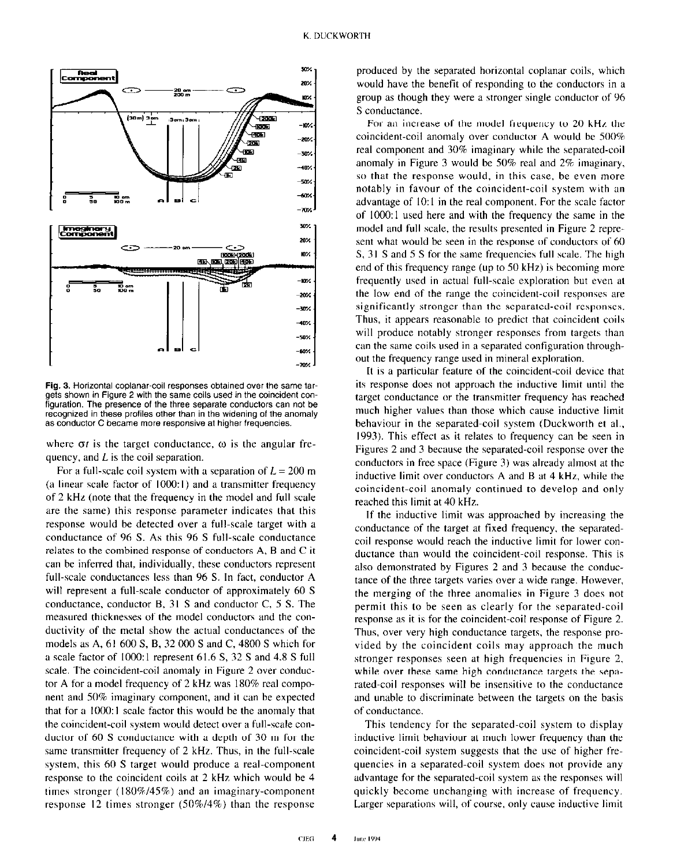

Fig. 3. Horizontal coplanar-coil responses obtained over the same targets shown in Figure 2 with the same coils used in the coincident configuration. The presence of the three separate conductors can not be recognized in these profiles other than in the widening of the anomaly as conductor C became more responsive at higher frequencies.

where  $\sigma t$  is the target conductance,  $\omega$  is the angular frequency, and  $L$  is the coil separation.

For a full-scale coil system with a separation of  $L = 200$  m (a linear scale factor of  $1000:1$ ) and a transmitter frequency of 2 kHz (note that the frequency in the model and full scale are the same) this response parameter indicates that this response would be detected over a full-scale target with a conductance of 96 S. As this 96 S full-scale conductance relates to the combined response of conductors A, B and C it can be inferred that, individually, these conductors represent full-scale conductances less than 96 S. In fact, conductor A will represent a full-scale conductor of approximately 60 S conductance, conductor B, 31 S and conductor C, 5 S. The measured thicknesses of the model conductors and the conductivity of the metal show the actual conductances of the models as A, 61 600 S, B, 32 000 S and C, 4800 S which for a scale factor of 1000: I represent 61.6 S, 32 S and 4.8 S full scale. The coincident-coil anomaly in Figure 2 over conductor A for a model frequency of 2 kHz was 180% real component and 50% imaginary component, and it can be expected that for a 1000: I scale factor this would be the anomaly that the coincident-coil system would detect over a full-scale conductor of 60 S conductance with a depth of 30 m for the same transmitter frequency of 2 kHz. Thus, in the full-scale system, this 60 S target would produce a real-component response to the coincident coils at 2 kHz which would be 4 times stronger (1X0%/45%) and an imaginary-component response 12 times stronger (50%/4%) than the response

produced by the separated horizontal coplanar coils, which would have the benefit of responding to the conductors in a group as though they were a stronger single conductor of 96 S conductance.

For an increase of the model frequency to 20 kHz the coincident-coil anomaly over conductor A would be 500% real component and 30% imaginary while the separated-coil anomaly in Figure 3 would be 50% real and 2% imaginary, so that the response would, in this case, be even more notably in favour of the coincident-coil system with an advantage of 10:1 in the real component. For the scale factor of 1000: I used here and with the frequency the same in the model and full scale, the results presented in Figure 2 represent what would be seen in the response of conductors of 60 S, 31 S and 5 S for the same frequencies full scale. The high end of this frequency range (up to 50 kHz) is becoming more frequently used in actual full-scale exploration but even at the low end of the range the coincident-coil responses are significantly stronger than the separated-coil responses. Thus, it appears reasonable to predict that coincident coils will produce notably stronger responses from targets than can the same coils used in a separated configuration throughout the frequency range used in mineral exploration.

It is a particular feature of the coincident-coil device that its response does not approach the inductive limit until the target conductance or the transmitter frequency has reached much higher values than those which cause inductive limit behaviour in the separated-coil system (Duckworth et al.. 1993). This effect as it relates to frequency can be seen in Figures 2 and 3 because the separated-coil response over the conductors in free space (Figure 3) was already almost at the inductive limit over conductors  $A$  and  $B$  at  $4$  kHz, while the coincident-coil anomaly continued to develop and only reached this limit at 40 kHz.

If the inductive limit was approached by increasing the conductance of the target at fixed frequency, the seperatedcoil response would reach the inductive limit for lower conductance than would the coincident-coil response. This is also demonstrated by Figures 2 and 3 because the conductance of the three targets varies over a wide range. However, the merging of the three anomalies in Figure 3 does not permit this to be seen as clearly for the separated-coil response as it is for the coincident-coil response of Figure 2. Thus, over very high conductance targets, the response provided by the coincident coils may approach the much stronger responses seen at high frequencies in Figure 2. while over these same high conductance targets the separated-coil responses will be insensitive ro the conductance and unable to discriminate between the targets on the basis of conductance.

This tendency for the separated-coil system to display inductive limit behaviour at much lower frequency than the coincident-coil system suggests that the use of higher frequencies in a separated-coil system does not provide any advantage for the separated-coil system as the responses will quickly become unchanging with increase of frequency. Larger separations will, of course, only cause inductive limit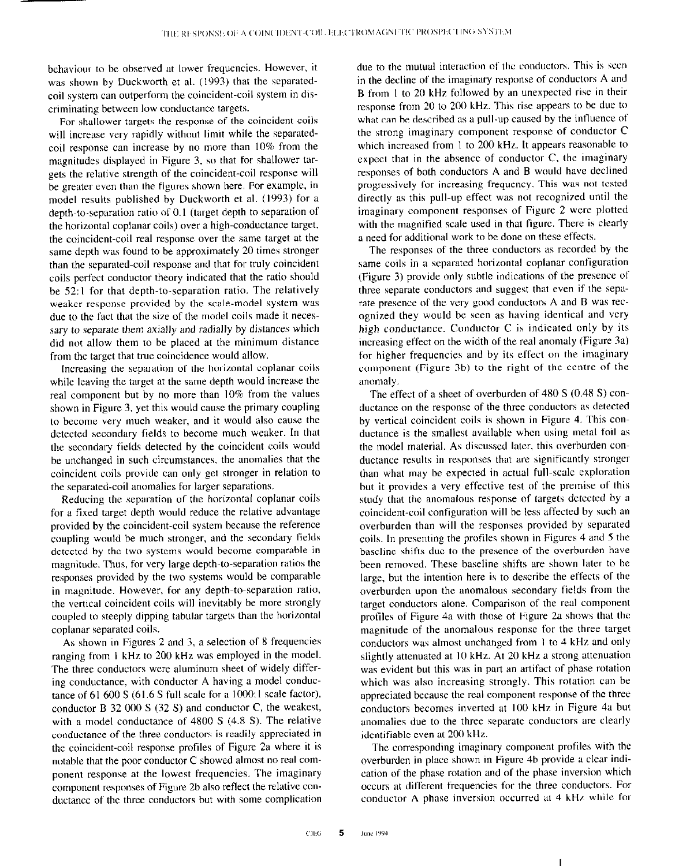behaviour to be observed at lower frequencies. However, it was shown by Duckworth et al. (1993) that the separatedcoil system can outperform the coincident-coil system in discriminating between low conductance targets.

For shallower targets the response of the coincident coils will increase very rapidly without limit while the separatedcoil response can increase by no more than 10% from the magnitudes displayed in Figure 3, so that for shallower targets the relative strength of the coincident-coil response will be greater even than the figures shown here. For example, in model results published by Duckworth et al. (1993) for a depth-to-separation ratio of 0.1 (target depth to separation of the horizontal coplanar coils) over a high-conductance target, the coincident-coil real response over the same target at the same depth was found to be approximately 20 times stronger than the separated-coil response and that for truly coincident coils perfect conductor theory indicated that the ratio should be 52:1 for that depth-to-separation ratio. The relatively weaker response provided by the scale-model system was due to the fact that the size of the model coils made it necessary to separate them axially and radially by distances which did not allow them to be placed at the minimum distance from the target that true coincidence would allow.

Increasing the separation of the horizontal coplanar coils while leaving the target at the same depth would increase the real component but by no more than 10% from the values shown in Figure 3. yet this would cause the primary coupling to become very much weaker, and it would also cause the detected secondary fields to become much weaker. In that the secondary fields detected by the coincident coils would be unchanged in such circumstances, the anomalies that the coincident coils provide can only get stronger in relation to the separated-coil anomalies for larger separations.

Reducing the separation of the horizontal coplanar coils for a fixed target depth would reduce the relative advantage provided by the coincident-coil system because the reference coupling would be much stronger, and the secondary fields detected by the two systems would become comparable in magnitude. Thus, for very large depth-to-separation ratios the responses provided by the two systems would be comparable in magnitude. However, for any depth-to-separation ratio, the vertical coincident coils will inevitably be more strongly coupled to steeply dipping tabular targets than the horizontal coplanar separated coils.

As shown in Figures 2 and 3, a selection of 8 frequencies ranging from I kHz to 200 kHz was employed in the model. The three conductors were aluminum sheet of widely differing conductance, with conductor A having a model conductance of 61 600 S (61.6 S full scale for a lOOo:l scale factor), conductor B 32 000 S (32 S) and conductor C, the weakest, with a model conductance of  $4800 S$  (4.8 S). The relative conductance of the three conductors is readily appreciated in the coincident-coil response profiles of Figure 2a where it is notable that the poor conductor C showed almost no real component response at the lowest frequencies. The imaginary component responses of Figure 2b also reflect the relative conductance of the three conductors but with some complication

due to the mutual interaction of the conductors. This is seen in the decline of the imaginary response of conductors A and B from 1 to 20 kHz followed by an unexpected rise in their response from 20 to 200 kHz. This rise appears to be due to what can be described as a pull-up caused by the influence of the strong imaginary component response of conductor C which increased from 1 to 200 kHz. It appears reasonable to expect that in the absence of conductor C, the imaginary responses of both conductors A and B would have declined progressively for increasing frequency. This was not tested directly as this pull-up effect was not recognized until the imaginary component responses of Figure 2 were plotted with the magnified scale used in that figure. There is clearly a need for additional work to be done on these effects.

The responses of the three conductors as recorded by the same coils in a separated horizontal coplanar configuration (Figure 3) provide only subtle indications of the presence of three separate conductors and suggest that even if the separate presence of the very good conductors A and B was recognized they would be seen as having identical and very high conductance. Conductor C is indicated only by its increasing effect on the width of the real anomaly (Figure 3a) for higher frequencies and by its effect on the imaginary component (Figure 3b) to the right of the centre of the anomaly.

The effect of a sheet of overburden of 480 S (0.48 S) conductance on the response of the three conductors as detected by vertical coincident coils is shown in Figure 4. This conductance is the smallest available when using metal foil as the model material. As discussed later, this overburden conductance results in responses that are significantly stronger than what may be expected in actual full-scale exploration but it provides a very effective test of the premise of this study that the anomalous response of targets detected by a coincident-coil configuration will be less affected by such an overburden than will the responses provided by separated coils. In presenting the profiles shown in Figures 4 and 5 the baseline shifts due to the presence of the overburden have been removed. These baseline shifts are shown later to be large, but the intention here is to describe the effects of the overburden upon the anomalous secondary fields from the target conductors alone. Comparison of the real component profiles of Figure 4a with those of Figure 2a shows that the magnitude of the anomalous response for the three target conductors was almost unchanged from I to 4 kHz and only slightly attenuated at IO kHz. At 20 kHz a strong attenuation was evident but this was in part an artifact of phase rotation which was also increasing strongly. This rotation can be appreciated because the real component response of the three conductors becomes inverted at 100 kHz in Figure 4a but anomalies due to the three separate conductors are clearly identifiable even at 200 kHz.

The corresponding imaginary component profiles with the overburden in place shown in Figure 4b provide a clear indication of the phase rotation and of the phase inversion which occurs at different frequencies for the three conductors. For conductor A phase inversion occurred at 4 kHz while for

I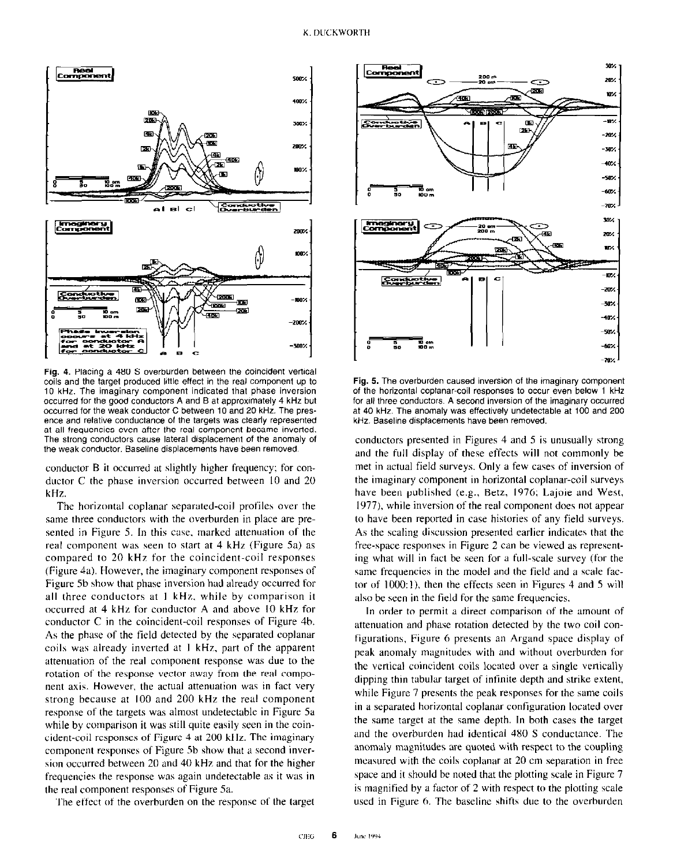

Fig. 4. Placing a 480 S overburden between the coincident vertical coils and the target produced little eflect in the real component up to 10 kHz. The imaginary component indicated that phase inversion occurred for the good conductors A and B at approximately 4 kHz but occurred for the weak conductor C between 10 and 20 kHz. The presence and relative conductance of the targets was clearly represented at all frequencies even after the real component became inverted. The strong conductors cause lateral displacement of the anomaly of the weak conductor. Baseline displacements have been removed.

conductor B it occurred at slightly higher frequency: for conductor C the phase inversion occurred between IO and 20 kHz.

The horizontal coplanar separated-coil profiles over the same three conductors with the overburden in place are presented in Figure 5. In this case, marked attenuation of the real component was seen to start at 4 kHz (Figure 5a) as compared to 20 kHz for the coincident-coil responses (Figure 4a). However, the imaginary component responses of Figure Sb show that phase inversion had already occurred for all three conductors at I kHz. while by comparison it occurred at 4 kHz for conductor A and above IO kHz for conductor C in the coincident-coil responses of Figure 4b. As the phase of the field detected by the separated coplanar coils was already inverted at I kHr, part of the apparent attenuation of the real component response was due to the rotation of the response vector away from the real component axis. However, the actual attenuation was in fact very strong because at 100 and 200 kHz the real component response of the targets was almost undetectable in Figure 5a while by comparison it was still quite easily seen in the coincident-coil responses of Figure 4 at 200 kHz. The imaginary component responses of Figure Sb show that a second inversion occurred between 20 and 40 kHz and that for the higher frequencies the response was again undetectable as it was in the real component responses of Figure Sa.

The effect of the overburden on the response of the target



Fig. 5. The overburden caused inversion of the imaginary component of the horizontal coplanar-coil responses to occur even below 1 kHz for all three conductors. A second inversion of the imaginary occurred at 40 kHz. The anomaly was effectively undetectable at 100 and 200 kHz. Baseline displacements have been removed.

conductors presented in Figures 4 and 5 is unusually strong and the full display of these effects will not commonly be met in actual field surveys. Only a few cases of inversion of the imaginary component in horizontal coplanar-coil surveys have been published (e.g., Betz, 1976; Lajoie and West, 1977). while inversion of the real component does not appear to have been reported in case histories of any field surveys. As the scaling discussion presented earlier indicates that the free-space responses in Figure 2 can be viewed as representing what will in fact be seen for a full-scale survey (for the same frequencies in the model and the field and a scale factor of  $1000:1$ ), then the effects seen in Figures 4 and 5 will also be seen in the field for the same frequencies.

In order to permit a direct comparison of the amount of attenuation and phase rotation detected by the two coil configurations, Figure 6 presents an Argand space display of peek anomaly magnitudes with and without overburden for the vertical coincident coils located over a single vertically dipping thin tabular target of infinite depth and strike extent, while Figure 7 presents the peak responses for the same coils in a separated horizontal coplanar configuration located over the same target at the same depth. In both cases the target and the overburden had identical 480 S conductance. The anomaly magnitudes are quoted with respect to the coupling measured with the coils coplanar at 20 cm separation in free space and it should be noted that the plotting scale in Figure 7 is magnified by a factor of  $2$  with respect to the plotting scale used in Figure 6. The baseline shifts due to the overburden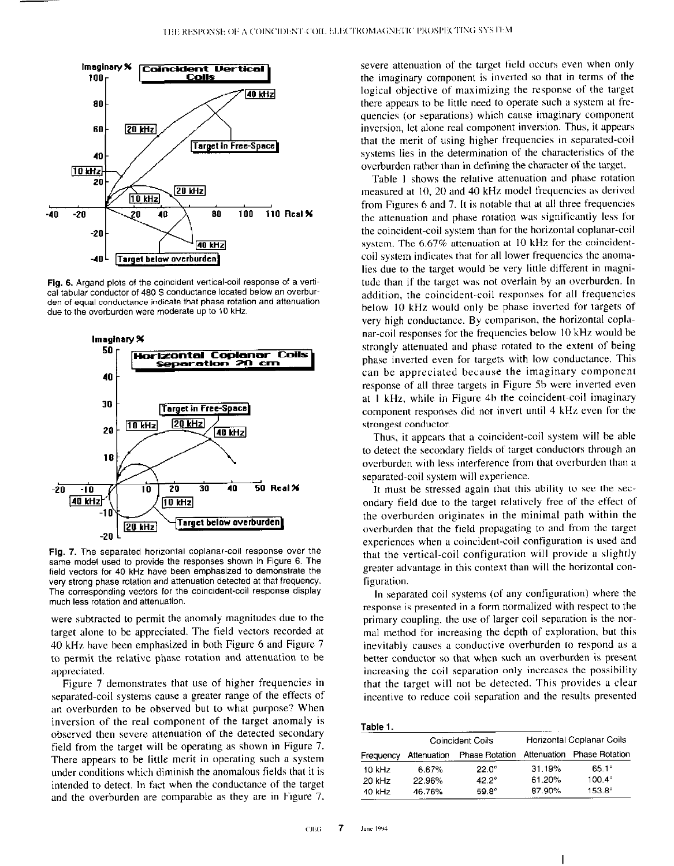

Fig. 6. Argand plots of the coincident vertical-coil response of a vertical tabular conductor of 480 S conductance located below an overburden of equal conductance indicate that phase rotation and attenuation due to the overburden were moderate up to 10 kHz.



Fig. 7. The separated horizontal coplanar-coil response over the same model used to provide the responses shown in Figure 6. The field vectors for 40 kHz have been emphasized to demonstrate the very strong phase rotation and attenuation detected at that frequency. The corresponding vectors for the coincident-coil response display much less rotation and attenuation.

were subtracted to permit the anomaly magnitudes due to the target alone to be appreciated. The field vectors recorded at 40 kHz have been emphasired in both Figure 6 and Figure 7 to permit the relative phase rotation and attenuation to be appreciated.

Figure 7 demonstrates that use of higher frequencies in separated-coil systems cause a greater range of the effects of an overburden to be observed but to what purpose? When inversion of the real component of the target anomaly is observed then severe attenuation of the detected secondary field from the target will be operating as shown in Figure 7. There appears to be little merit in operating such a system under conditions which diminish the anomalous fields that it is intended to detect. In fact when the conductance of the target and the overburden are comparable as they are in Figure 7.

severe attenuation of the target field occurs even when only the imaginary component is inverted so that in terms of the logical objective of maximizing the response of the target there appears to be little need to operate such a system at frequencies (or separations) which cause imaginary component inversion, let alone real component inversion. Thus, it appears that the merit of using higher frequencies in separated-coil systems lies in the determination of the characteristics of the overburden rather than in defining the character of the target.

Table I shows the relative attenuation and phase rotation measured at IO, 20 and 40 kHz model frequencies as derived from Figures 6 and 7. It is notable that at all three frequencies the attenuation and phase rotation was significantly less for the coincident-coil system than for the horizontal coplanar-coil system. The 6.67% attenuation at IO kHz for the coincidentcoil system indicates that for alI lower frequencies the anomalies due to the target would be very little different in magnitude than if the target was not overlain by an overburden. In addition, the coincident-coil responses for all frequencies below 10 kHz would only be phase inverted for targets of very high conductance. By comparison, the horizontal coplanar-coil responses for the frequencies below 10 kHz would be strongly attenuated and phase rotated to the extent of being phase inverted even for targets with low conductance. This can be appreciated because the imaginary component response of all three targets in Figure Sb were inverted even at I kHz, while in Figure 4b the coincident-coil imaginary component responses did not invert until 4 kHz even for the strongest conductor.

Thus, it appears that a coincident-coil system will be able to detect the secondary fields of target conductors through an overburden with less interference from that overburden than a separated-coil system will experience.

It must be stressed again that this ability to see the secondary field due to the target relatively free of the effect of the overburden originates in the minimal path within the overburden that the field propagating to and from the target experiences when a coincident-coil configuration is used and that the vertical-coil configuration will provide a slightly greater advantage in this context than will the horizontal configuration.

In separated coil systems (of any configuration) where the response is presented in a form normalized with respect to the primary coupling. the use of larger coil separation is the normal method for increasing the depth of exploration. but this inevitably causes a conductive overburden to respond as a better conductor so that when such an overburden is present increasing the coil separation only increases the possibility that the target will not be detected. This provides a clear incentive to reduce coil separation and the results presented

| 80 |  |
|----|--|
|    |  |

|           | Coincident Coils |                | Horizontal Coplanar Coils |                            |
|-----------|------------------|----------------|---------------------------|----------------------------|
| Frequency | Attenuation      | Phase Rotation |                           | Attenuation Phase Rotation |
| $10$ kHz  | 6.67%            | $22.0^\circ$   | 31 19%                    | $65.1^{\circ}$             |
| $20$ kHz  | 22.96%           | $42.2^{\circ}$ | 61.20%                    | $100.4^{\circ}$            |
| 40 kHz    | 46.76%           | 59.8°          | 87.90%                    | $153.8^{\circ}$            |

I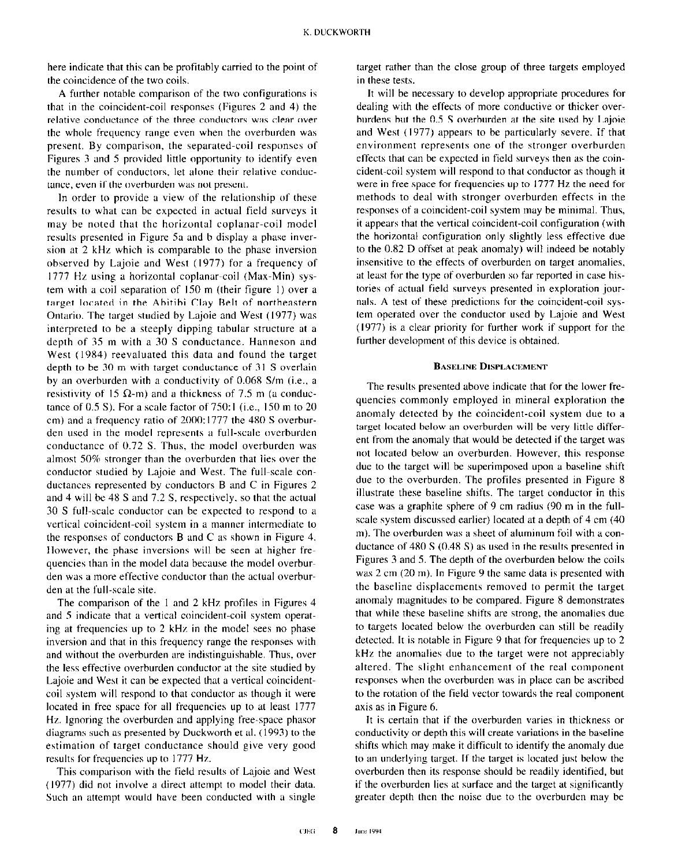here indicate that this can be profitably carried to the point of the coincidence of the two coils.

A further notable comparison of the two configurations is that in the coincident-coil responses (Figures 2 and 4) the relative conductance of the three conductors was clear over the whole frequency range even when the overburden was present. By comparison, the separated-coil responses of Figures 3 and 5 provided little opportunity to identify even the number of conductors, let alone their relative conductance, even if the overburden was not present.

In order to provide a view of the relationship of these results to what can be expected in actual field surveys it may be noted that the horizontal coplanar-coil model results presented in Figure Sa and h display a phase inversion at 2 kHz which is comparable to the phase inversion observed by Lajoie and West (1977) for a frequency of 1777 Hz using a horizontal coplanar-coil (Max-Min) system with a coil separation of 150 m (their figure I) over a target located in the Abitibi Clay Belt of northeastern Ontario. The target studied by Lajoie and West (1977) was interpreted to be a steeply dipping tabular structure at a depth of 35 m with a 30 S conductance. Hanneson and West (1984) reevaluated this data and found the target depth to be 30 m with target conductance of 31 S overlain by an overburden with a conductivity of 0.068 S/m (i.e., a resistivity of 15  $\Omega$ -m) and a thickness of 7.5 m (a conductance of  $0.5$  S). For a scale factor of  $750:1$  (i.e.,  $150$  m to  $20$ ) cm) and a frequency ratio of 2000: 1777 the 480 S overhurden used in the model represents a full-scale overburden conductance of 0.72 S. Thus, the model overburden was almost 50% stronger than the overburden that lies over the conductor studied by Lajoie and West. The full-scale conductances represented by conductors  $B$  and  $C$  in Figures 2 and 4 will be 4X S and 7.2 S, respectively. so that the actual 30 S full-scale conductor can he expected to respond to a vertical coincident-coil system in a manner intermediate to the responses of conductors B and C as shown in Figure 4. However, the phase inversions will be seen at higher frequencies than in the model data because the model overburden was a more effective conductor than the actual overburden at the full-scale site.

The comparison of the 1 and 2 kHz profiles in Figures  $4$ and 5 indicate that a vertical coincident-coil system operating at frequencies up to 2 kHz in the model sees no phase inversion and that in this frequency range the responses with and without the overburden are indistinguishable. Thus, over the less effective overburden conductor at the site studied by Lajoie and West it can be expected that a vertical coincidentcoil system will respond to that conductor as though it were located in free space for all frequencies up to at least 1777 Hz. Ignoring the overburden and applying free-space phasor diagrams such as presented by Duckworth et al. (1993) to the estimation of target conductance should give very good results for frequencies up to 1777 Hz.

This comparison with the field results of Lajoie and West (1977) did not involve a direct attempt to model their data. Such an attempt would have been conducted with a single

target rather than the close group of three targets employed in these tests.

It will be necessary to develop appropriate procedures for dealing with the effects of more conductive or thicker overburdens but the 0.5 S overburden at the site used by Lajoie and West (1977) appears to be particularly severe. If that environment represents one of the stronger overburden effects that can be expected in field surveys then as the coincident-coil system will respond to that conductor as though it were in free space for frequencies up to 1777 Hz the need for methods to deal with stronger overburden effects in the responses of a coincident-coil system may be minimal. Thus, it appears that the vertical coincident-coil configuration (with the horizontal configuration only slightly less effective due to the 0.82 D offset at peak anomaly) will indeed be notably insensitive to the effects of overburden on target anomalies. at least for the type of overburden so far reported in case histories of actual field surveys presented in exploration journals. A test of these predictions for the coincident-coil system operated over the conductor used by Lajoie and West (1977) is a clear priority for further work if support for the further development of this device is obtained.

#### BASELINE DISPLACEMENT

The results presented above indicate that for the lower frequencies commonly employed in mineral exploration the anomaly detected by the coincident-coil system due to a target located below an overburden will be very little different from the anomaly that would be detected if the target was not located below an overburden. However, this response due to the target will be superimposed upon a baseline shift due to the overburden. The profiles presented in Figure 8 illustrate these baseline shifts. The target conductor in this case was a graphite sphere of 9 cm radius (90 m in the fullscale system discussed earlier) located at a depth of 4 cm (40 m). The overburden was a sheet of aluminum foil with a conductance of 480 S (0.48 S) as used in the results presented in Figures 3 and 5. The depth of the overburden below the coils was 2 cm (20 m). In Figure 9 the same data is presented with the baseline displacements removed to permit the target anomaly magnitudes to he compared. Figure 8 demonstrates that while these baseline shifts are strong, the anomalies due to targets located below the overburden can still be readily detected. It is notable in Figure 9 that for frequencies up to 2 kHz the anomalies due to the target were not appreciably altered. The slight enhancement of the real component responses when the overburden was in place can he ascribed to the rotation of the field vector towards the real component axis as in Figure 6.

It is certain that if the overburden varies in thickness or conductivity or depth this will create variations in the baseline shifts which may make it difficult to identify the anomaly due to an underlying target. If the target is located just below the overburden then its response should be readily identified, but if the overburden lies at surface and the target at significantly greater depth then the noise due to the overburden may be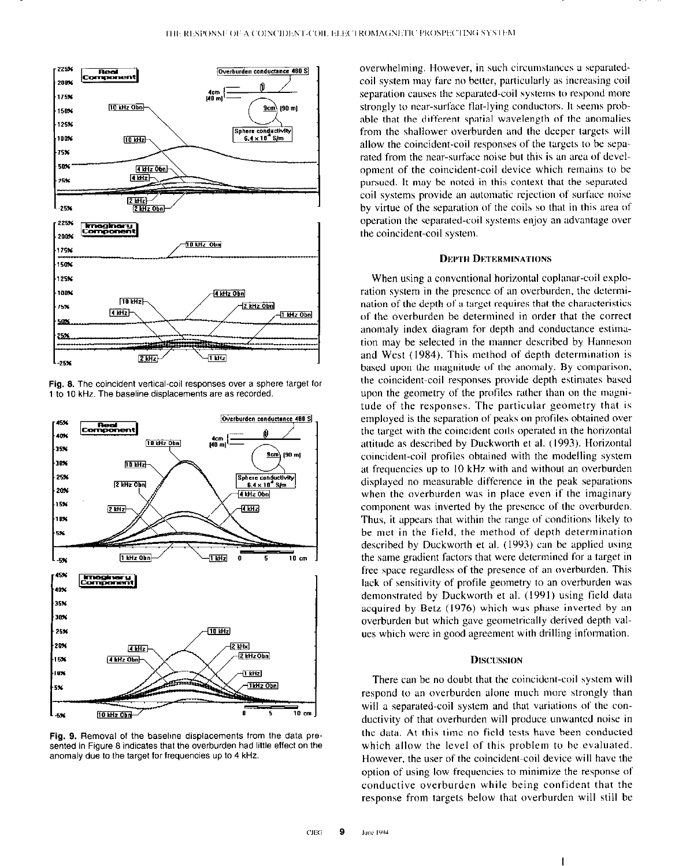





Fig. 9. Removal of the baseline displacements from the data presented in Figure 8 indicates that the overburden had little effect on the anomaly due to the target for frequencies up to 4 kHz.

overwhelming. However, in such circumstances a separatedcoil system may fare no better, particularly as increasing coil separation causes the separated-coil systems to respond more strongly to near-surface flat-lying conductors. It seems probable that the different spatial wavelength of the anomalies from the shallower overburden and the deeper targets will allow the coincident-coil responses of the targets to be separated from the near-surface noise but this is an area of development of the coincident-coil device which remains to be pursued. It may be noted in this context that the separatedcoil systems provide an automatic rejection of surface noise by virtue of the separation of the coils so that in this area of operation the separated-coil systems enjoy an advantage over the coincident-coil system

#### **DEPTH DETERMINATIONS**

When using a conventional horizontal coplanar-coil exploration system in the presence of an overburden, the determination of the depth of a target requires that the characteristics of the overburden be determined in order that the correct anomaly index diagram for depth and conductance estimation may be selected in the manner described by Hanneson and West (1984). This method of depth determination is based upon the magnitude of the anomaly. By comparison. the coincident-coil responses provide depth estimates based upon the geometry of the profiles rather than on the magnitude of the responses. The particular geometry that is employed is the separation of peaks on profiles obtained over the target with the coincident coils operated in the horizontal attitude as described by Duckworth et al. (1993). Horizontal coincident-coil profiles obtained with the modelling system at frequencies up to 10 kHz with and without an overburden displayed no measurable difference in the peak separations when the overburden was in place even if the imaginary component was inverted hy the presence of the overburden. Thus, it appears that within the range of conditions likely to be met in the field, the method of depth determination described by Duckworth et al. (1993) can he applied using the same gradient factors that were determined for a target in free space regardless of the presence of an overburden. This lack of sensitivity of profile geometry to an overburden was demonstrated by Duckworth et al. (1991) using field data acquired hy Betz (1976) which was phase inverted by an overburden but which gave geometrically derived depth values which were in good agreement with drilling information.

## **DISCUSSION**

There can be no doubt that the coincident-coil system will respond to an overburden alone much more strongly than will a separated-coil system and that variations of the conductivity of that overburden will produce unwanted noise in the date. At this time no field tests have been conducted which allow the level of this problem to be evaluated. However, the user of the coincident-coil device will have the option of using low frequencies to minimize the response of conductive overburden while being confident that the response from targets below that overburden will still he

I